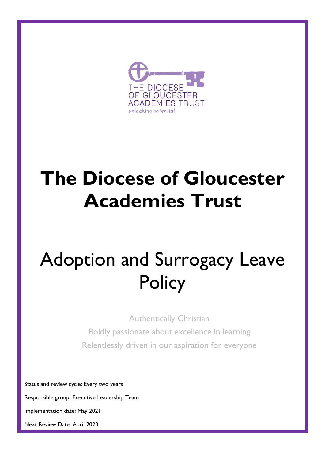

# **The Diocese of Gloucester Academies Trust**

# Adoption and Surrogacy Leave **Policy**

Authentically Christian

Boldly passionate about excellence in learning Relentlessly driven in our aspiration for everyone

Status and review cycle: Every two years

Responsible group: Executive Leadership Team

Next review date: March 2018

Implementation date: May 2021

Responsible Dept: Trust Next Review Date: April 2023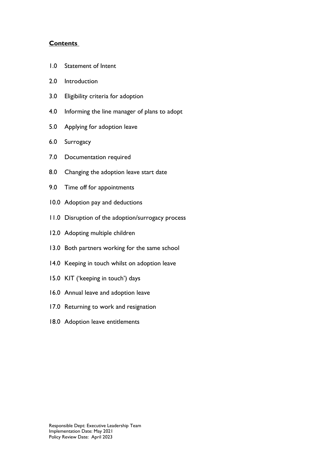#### **Contents**

- 1.0 [Statement of Intent](#page-2-0)
- 2.0 [Introduction](#page-2-1)
- 3.0 [Eligibility criteria](#page-2-2) for adoption
- 4.0 [Informing the line manager of plans](#page-2-3) to adopt
- 5.0 [Applying for adoption leave](#page-3-0)
- 6.0 [Surrogacy](#page-3-1)
- 7.0 [Documentation required](#page-3-2)
- 8.0 [Changing the adoption leave start date](#page-4-0)
- 9.0 [Time off for appointments](#page-4-1)
- 10.0 Adoption pay [and deductions](#page-4-2)
- 11.0 [Disruption of the adoption/surrogacy process](#page-5-0)
- 12.0 [Adopting multiple children](#page-6-0)
- 13.0 Both [partners working for the same school](#page-6-1)
- 14.0 [Keeping in touch whilst on adoption leave](#page-6-2)
- 15.0 [KIT \('keeping in touch'\) days](#page-6-3)
- 16.0 [Annual leave and adoption](#page-7-0) leave
- 17.0 [Returning to work](#page-7-1) and resignation
- 18.0 [Adoption leave](#page-7-2) entitlements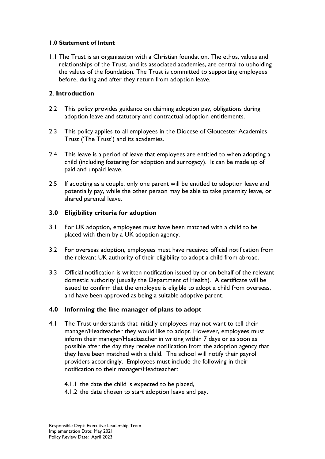#### <span id="page-2-0"></span>**1.0 Statement of Intent**

1.1 The Trust is an organisation with a Christian foundation. The ethos, values and relationships of the Trust, and its associated academies, are central to upholding the values of the foundation. The Trust is committed to supporting employees before, during and after they return from adoption leave.

## <span id="page-2-1"></span>**2**. **Introduction**

- 2.2 This policy provides guidance on claiming adoption pay, obligations during adoption leave and statutory and contractual adoption entitlements.
- 2.3 This policy applies to all employees in the Diocese of Gloucester Academies Trust ('The Trust') and its academies.
- 2.4 This leave is a period of leave that employees are entitled to when adopting a child (including fostering for adoption and surrogacy). It can be made up of paid and unpaid leave.
- 2.5 If adopting as a couple, only one parent will be entitled to adoption leave and potentially pay, while the other person may be able to take paternity leave, or shared parental leave.

## <span id="page-2-2"></span>**3.0 Eligibility criteria for adoption**

- 3.1 For UK adoption, employees must have been matched with a child to be placed with them by a UK adoption agency.
- 3.2 For overseas adoption, employees must have received official notification from the relevant UK authority of their eligibility to adopt a child from abroad.
- 3.3 Official notification is written notification issued by or on behalf of the relevant domestic authority (usually the Department of Health). A certificate will be issued to confirm that the employee is eligible to adopt a child from overseas, and have been approved as being a suitable adoptive parent.

## <span id="page-2-3"></span>**4.0 Informing the line manager of plans to adopt**

- 4.1 The Trust understands that initially employees may not want to tell their manager/Headteacher they would like to adopt. However, employees must inform their manager/Headteacher in writing within 7 days or as soon as possible after the day they receive notification from the adoption agency that they have been matched with a child. The school will notify their payroll providers accordingly. Employees must include the following in their notification to their manager/Headteacher:
	- 4.1.1 the date the child is expected to be placed,
	- 4.1.2 the date chosen to start adoption leave and pay.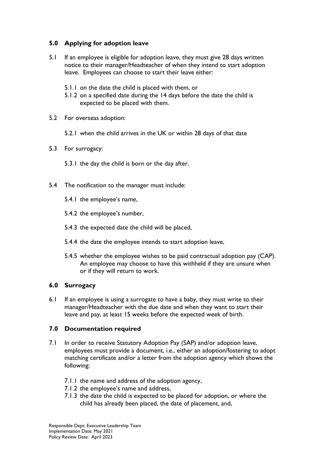## <span id="page-3-0"></span>**5.0 Applying for adoption leave**

- 5.1 If an employee is eligible for adoption leave, they must give 28 days written notice to their manager/Headteacher of when they intend to start adoption leave. Employees can choose to start their leave either:
	- 5.1.1 on the date the child is placed with them, or
	- 5.1.2 on a specified date during the 14 days before the date the child is expected to be placed with them.
- 5.2 For overseas adoption:
	- 5.2.1 when the child arrives in the UK or within 28 days of that date
- 5.3 For surrogacy:
	- 5.3.1 the day the child is born or the day after.
- 5.4 The notification to the manager must include:
	- 5.4.1 the employee's name,
	- 5.4.2 the employee's number,
	- 5.4.3 the expected date the child will be placed,
	- 5.4.4 the date the employee intends to start adoption leave,
	- 5.4.5 whether the employee wishes to be paid contractual adoption pay (CAP). An employee may choose to have this withheld if they are unsure when or if they will return to work.

## <span id="page-3-1"></span>**6.0 Surrogacy**

6.1 If an employee is using a surrogate to have a baby, they must write to their manager/Headteacher with the due date and when they want to start their leave and pay, at least 15 weeks before the expected week of birth.

## <span id="page-3-2"></span>**7.0 Documentation required**

- 7.1 In order to receive Statutory Adoption Pay (SAP) and/or adoption leave, employees must provide a document, i.e., either an adoption/fostering to adopt matching certificate and/or a letter from the adoption agency which shows the following:
	- 7.1.1 the name and address of the adoption agency,
	- 7.1.2 the employee's name and address,
	- 7.1.3 the date the child is expected to be placed for adoption, or where the child has already been placed, the date of placement, and,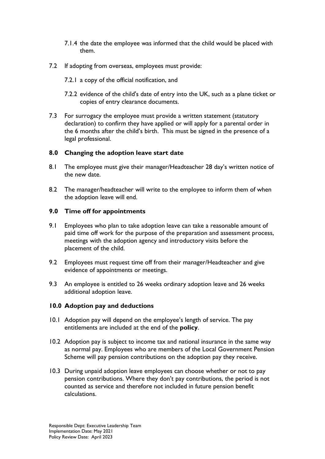- 7.1.4 the date the employee was informed that the child would be placed with them.
- 7.2 If adopting from overseas, employees must provide:
	- 7.2.1 a copy of the official notification, and
	- 7.2.2 evidence of the child's date of entry into the UK, such as a plane ticket or copies of entry clearance documents.
- 7.3 For surrogacy the employee must provide a written statement (statutory declaration) to confirm they have applied or will apply for a parental order in the 6 months after the child's birth. This must be signed in the presence of a legal professional.

## <span id="page-4-0"></span>**8.0 Changing the adoption leave start date**

- 8.1 The employee must give their manager/Headteacher 28 day's written notice of the new date.
- 8.2 The manager/headteacher will write to the employee to inform them of when the adoption leave will end.

#### <span id="page-4-1"></span>**9.0 Time off for appointments**

- 9.1 Employees who plan to take adoption leave can take a reasonable amount of paid time off work for the purpose of the preparation and assessment process, meetings with the adoption agency and introductory visits before the placement of the child.
- 9.2 Employees must request time off from their manager/Headteacher and give evidence of appointments or meetings.
- 9.3 An employee is entitled to 26 weeks ordinary adoption leave and 26 weeks additional adoption leave.

#### <span id="page-4-2"></span>**10.0 Adoption pay and deductions**

- 10.1 Adoption pay will depend on the employee's length of service. The pay entitlements are included at the end of the **policy**.
- 10.2 Adoption pay is subject to income tax and national insurance in the same way as normal pay. Employees who are members of the Local Government Pension Scheme will pay pension contributions on the adoption pay they receive.
- 10.3 During unpaid adoption leave employees can choose whether or not to pay pension contributions. Where they don't pay contributions, the period is not counted as service and therefore not included in future pension benefit calculations.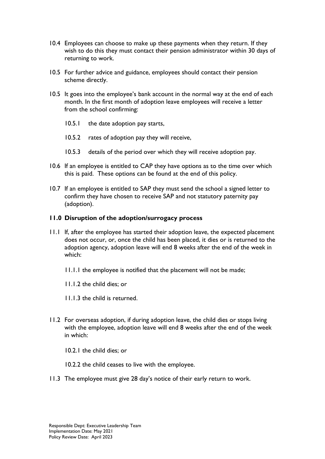- 10.4 Employees can choose to make up these payments when they return. If they wish to do this they must contact their pension administrator within 30 days of returning to work.
- 10.5 For further advice and guidance, employees should contact their pension scheme directly.
- 10.5 It goes into the employee's bank account in the normal way at the end of each month. In the first month of adoption leave employees will receive a letter from the school confirming:
	- 10.5.1 the date adoption pay starts,
	- 10.5.2 rates of adoption pay they will receive,
	- 10.5.3 details of the period over which they will receive adoption pay.
- 10.6 If an employee is entitled to CAP they have options as to the time over which this is paid. These options can be found at the end of this policy.
- 10.7 If an employee is entitled to SAP they must send the school a signed letter to confirm they have chosen to receive SAP and not statutory paternity pay (adoption).

## <span id="page-5-0"></span>**11.0 Disruption of the adoption/surrogacy process**

- 11.1 If, after the employee has started their adoption leave, the expected placement does not occur, or, once the child has been placed, it dies or is returned to the adoption agency, adoption leave will end 8 weeks after the end of the week in which:
	- 11.1.1 the employee is notified that the placement will not be made;
	- 11.1.2 the child dies; or
	- 11.1.3 the child is returned.
- 11.2 For overseas adoption, if during adoption leave, the child dies or stops living with the employee, adoption leave will end 8 weeks after the end of the week in which:
	- 10.2.1 the child dies; or
	- 10.2.2 the child ceases to live with the employee.
- 11.3 The employee must give 28 day's notice of their early return to work.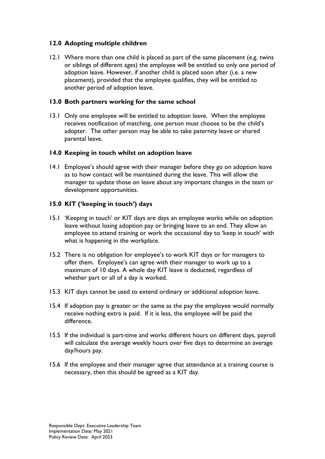## <span id="page-6-0"></span>**12.0 Adopting multiple children**

12.1 Where more than one child is placed as part of the same placement (e.g. twins or siblings of different ages) the employee will be entitled to only one period of adoption leave. However, if another child is placed soon after (i.e. a new placement), provided that the employee qualifies, they will be entitled to another period of adoption leave.

## <span id="page-6-1"></span>**13.0 Both partners working for the same school**

13.1 Only one employee will be entitled to adoption leave. When the employee receives notification of matching, one person must choose to be the child's adopter. The other person may be able to take paternity leave or shared parental leave.

## <span id="page-6-2"></span>**14.0 Keeping in touch whilst on adoption leave**

14.1 Employee's should agree with their manager before they go on adoption leave as to how contact will be maintained during the leave. This will allow the manager to update those on leave about any important changes in the team or development opportunities.

## <span id="page-6-3"></span>**15.0 KIT ('keeping in touch') days**

- 15.1 'Keeping in touch' or KIT days are days an employee works while on adoption leave without losing adoption pay or bringing leave to an end. They allow an employee to attend training or work the occasional day to 'keep in touch' with what is happening in the workplace.
- 15.2 There is no obligation for employee's to work KIT days or for managers to offer them. Employee's can agree with their manager to work up to a maximum of 10 days. A whole day KIT leave is deducted, regardless of whether part or all of a day is worked.
- 15.3 KIT days cannot be used to extend ordinary or additional adoption leave.
- 15.4 If adoption pay is greater or the same as the pay the employee would normally receive nothing extra is paid. If it is less, the employee will be paid the difference.
- 15.5 If the individual is part-time and works different hours on different days, payroll will calculate the average weekly hours over five days to determine an average day/hours pay.
- 15.6 If the employee and their manager agree that attendance at a training course is necessary, then this should be agreed as a KIT day.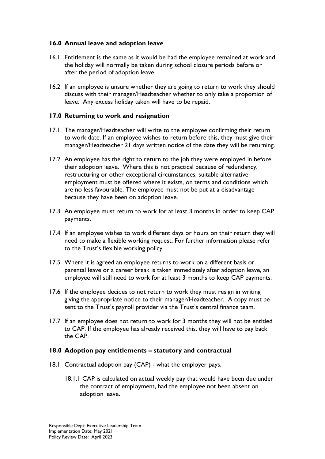## <span id="page-7-0"></span>**16.0 Annual leave and adoption leave**

- 16.1 Entitlement is the same as it would be had the employee remained at work and the holiday will normally be taken during school closure periods before or after the period of adoption leave.
- 16.2 If an employee is unsure whether they are going to return to work they should discuss with their manager/Headteacher whether to only take a proportion of leave. Any excess holiday taken will have to be repaid.

#### <span id="page-7-1"></span>**17.0 Returning to work and resignation**

- 17.1 The manager/Headteacher will write to the employee confirming their return to work date. If an employee wishes to return before this, they must give their manager/Headteacher 21 days written notice of the date they will be returning.
- 17.2 An employee has the right to return to the job they were employed in before their adoption leave. Where this is not practical because of redundancy, restructuring or other exceptional circumstances, suitable alternative employment must be offered where it exists, on terms and conditions which are no less favourable. The employee must not be put at a disadvantage because they have been on adoption leave.
- 17.3 An employee must return to work for at least 3 months in order to keep CAP payments.
- 17.4 If an employee wishes to work different days or hours on their return they will need to make a flexible working request. For further information please refer to the Trust's flexible working policy*.*
- 17.5 Where it is agreed an employee returns to work on a different basis or parental leave or a career break is taken immediately after adoption leave, an employee will still need to work for at least 3 months to keep CAP payments.
- 17.6 If the employee decides to not return to work they must resign in writing giving the appropriate notice to their manager/Headteacher. A copy must be sent to the Trust's payroll provider via the Trust's central finance team.
- 17.7 If an employee does not return to work for 3 months they will not be entitled to CAP. If the employee has already received this, they will have to pay back the CAP.

#### <span id="page-7-2"></span>**18.0 Adoption pay entitlements – statutory and contractual**

- 18.1 Contractual adoption pay (CAP) what the employer pays.
	- 18.1.1 CAP is calculated on actual weekly pay that would have been due under the contract of employment, had the employee not been absent on adoption leave.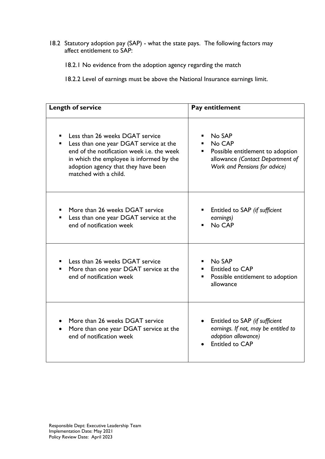18.2 Statutory adoption pay (SAP) - what the state pays. The following factors may affect entitlement to SAP:

18.2.1 No evidence from the adoption agency regarding the match

18.2.2 Level of earnings must be above the National Insurance earnings limit.

| <b>Length of service</b>                                                                                                                                                                                                                 | Pay entitlement                                                                                                                                               |  |
|------------------------------------------------------------------------------------------------------------------------------------------------------------------------------------------------------------------------------------------|---------------------------------------------------------------------------------------------------------------------------------------------------------------|--|
| Less than 26 weeks DGAT service<br>Less than one year DGAT service at the<br>٠<br>end of the notification week i.e. the week<br>in which the employee is informed by the<br>adoption agency that they have been<br>matched with a child. | No SAP<br>No CAP<br>$\blacksquare$<br>Possible entitlement to adoption<br>$\blacksquare$<br>allowance (Contact Department of<br>Work and Pensions for advice) |  |
| More than 26 weeks DGAT service<br>Less than one year DGAT service at the<br>end of notification week                                                                                                                                    | Entitled to SAP (if sufficient<br>earnings)<br>No CAP                                                                                                         |  |
| Less than 26 weeks DGAT service<br>More than one year DGAT service at the<br>end of notification week                                                                                                                                    | No SAP<br>п.<br><b>Entitled to CAP</b><br>Possible entitlement to adoption<br>٠<br>allowance                                                                  |  |
| More than 26 weeks DGAT service<br>More than one year DGAT service at the<br>end of notification week                                                                                                                                    | Entitled to SAP (if sufficient<br>earnings. If not, may be entitled to<br>adoption allowance)<br><b>Entitled to CAP</b>                                       |  |